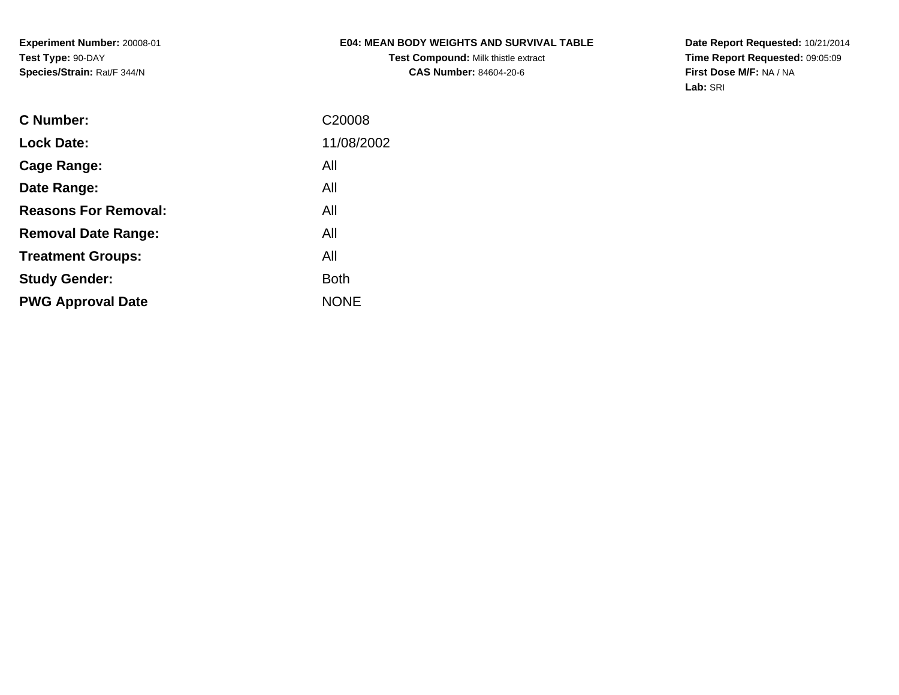**Experiment Number:** 20008-01**Test Type:** 90-DAY**Species/Strain:** Rat/F 344/N

# **E04: MEAN BODY WEIGHTS AND SURVIVAL TABLE**

**Test Compound:** Milk thistle extract**CAS Number:** 84604-20-6

**Date Report Requested:** 10/21/2014 **Time Report Requested:** 09:05:09**First Dose M/F:** NA / NA**Lab:** SRI

| <b>C</b> Number:            | C20008      |
|-----------------------------|-------------|
| <b>Lock Date:</b>           | 11/08/2002  |
| Cage Range:                 | All         |
| Date Range:                 | All         |
| <b>Reasons For Removal:</b> | All         |
| <b>Removal Date Range:</b>  | All         |
| <b>Treatment Groups:</b>    | All         |
| <b>Study Gender:</b>        | Both        |
| <b>PWG Approval Date</b>    | <b>NONE</b> |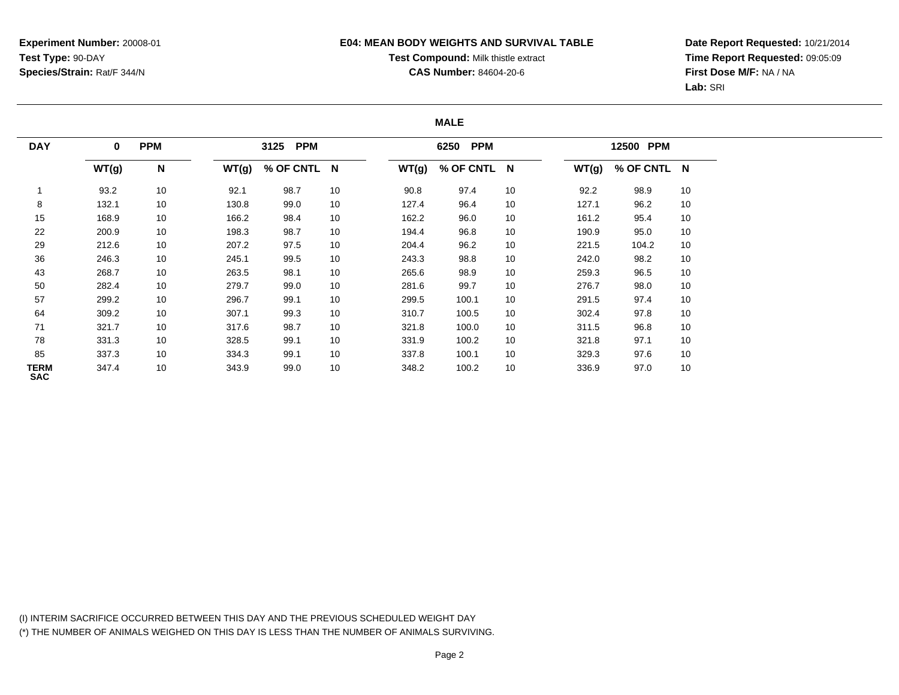## **E04: MEAN BODY WEIGHTS AND SURVIVAL TABLE**

# **Test Compound:** Milk thistle extract

**CAS Number:** 84604-20-6

**Date Report Requested:** 10/21/2014**Time Report Requested:** 09:05:09**First Dose M/F:** NA / NA**Lab:** SRI

### **MALE**

| <b>DAY</b>         | $\mathbf 0$ | <b>PPM</b> |       | <b>PPM</b><br>3125 |    |       | 6250 PPM    |    |       | 12500 PPM   |    |
|--------------------|-------------|------------|-------|--------------------|----|-------|-------------|----|-------|-------------|----|
|                    | WT(g)       | N          | WT(g) | % OF CNTL N        |    | WT(g) | % OF CNTL N |    | WT(g) | % OF CNTL N |    |
|                    | 93.2        | 10         | 92.1  | 98.7               | 10 | 90.8  | 97.4        | 10 | 92.2  | 98.9        | 10 |
| 8                  | 132.1       | 10         | 130.8 | 99.0               | 10 | 127.4 | 96.4        | 10 | 127.1 | 96.2        | 10 |
| 15                 | 168.9       | 10         | 166.2 | 98.4               | 10 | 162.2 | 96.0        | 10 | 161.2 | 95.4        | 10 |
| 22                 | 200.9       | 10         | 198.3 | 98.7               | 10 | 194.4 | 96.8        | 10 | 190.9 | 95.0        | 10 |
| 29                 | 212.6       | 10         | 207.2 | 97.5               | 10 | 204.4 | 96.2        | 10 | 221.5 | 104.2       | 10 |
| 36                 | 246.3       | 10         | 245.1 | 99.5               | 10 | 243.3 | 98.8        | 10 | 242.0 | 98.2        | 10 |
| 43                 | 268.7       | 10         | 263.5 | 98.1               | 10 | 265.6 | 98.9        | 10 | 259.3 | 96.5        | 10 |
| 50                 | 282.4       | 10         | 279.7 | 99.0               | 10 | 281.6 | 99.7        | 10 | 276.7 | 98.0        | 10 |
| 57                 | 299.2       | 10         | 296.7 | 99.1               | 10 | 299.5 | 100.1       | 10 | 291.5 | 97.4        | 10 |
| 64                 | 309.2       | 10         | 307.1 | 99.3               | 10 | 310.7 | 100.5       | 10 | 302.4 | 97.8        | 10 |
| 71                 | 321.7       | 10         | 317.6 | 98.7               | 10 | 321.8 | 100.0       | 10 | 311.5 | 96.8        | 10 |
| 78                 | 331.3       | 10         | 328.5 | 99.1               | 10 | 331.9 | 100.2       | 10 | 321.8 | 97.1        | 10 |
| 85                 | 337.3       | 10         | 334.3 | 99.1               | 10 | 337.8 | 100.1       | 10 | 329.3 | 97.6        | 10 |
| TERM<br><b>SAC</b> | 347.4       | 10         | 343.9 | 99.0               | 10 | 348.2 | 100.2       | 10 | 336.9 | 97.0        | 10 |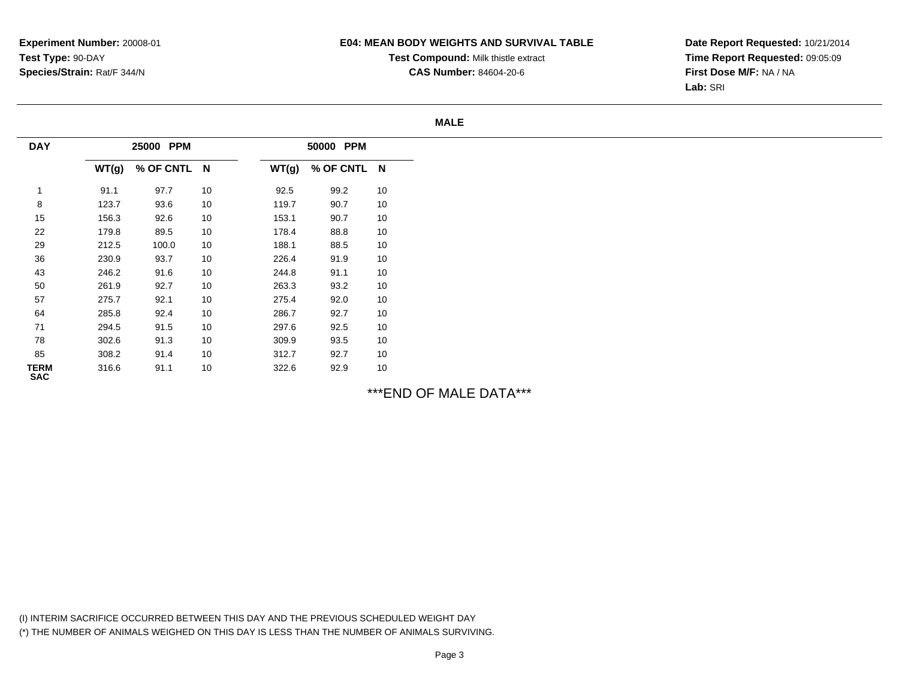## **E04: MEAN BODY WEIGHTS AND SURVIVAL TABLE**

**Test Compound:** Milk thistle extract

**CAS Number:** 84604-20-6

**Date Report Requested:** 10/21/2014**Time Report Requested:** 09:05:09**First Dose M/F:** NA / NA**Lab:** SRI

#### **MALE**

| <b>DAY</b>         |       | <b>PPM</b><br>25000 |    | <b>PPM</b><br>50000     |
|--------------------|-------|---------------------|----|-------------------------|
|                    | WT(g) | % OF CNTL           | N  | N<br>% OF CNTL<br>WT(g) |
| 1                  | 91.1  | 97.7                | 10 | 10<br>99.2<br>92.5      |
| 8                  | 123.7 | 93.6                | 10 | 10<br>119.7<br>90.7     |
| 15                 | 156.3 | 92.6                | 10 | 10<br>153.1<br>90.7     |
| 22                 | 179.8 | 89.5                | 10 | 178.4<br>88.8<br>10     |
| 29                 | 212.5 | 100.0               | 10 | 188.1<br>88.5<br>10     |
| 36                 | 230.9 | 93.7                | 10 | 226.4<br>91.9<br>10     |
| 43                 | 246.2 | 91.6                | 10 | 10<br>244.8<br>91.1     |
| 50                 | 261.9 | 92.7                | 10 | 263.3<br>93.2<br>10     |
| 57                 | 275.7 | 92.1                | 10 | 275.4<br>92.0<br>10     |
| 64                 | 285.8 | 92.4                | 10 | 10<br>286.7<br>92.7     |
| 71                 | 294.5 | 91.5                | 10 | 92.5<br>10<br>297.6     |
| 78                 | 302.6 | 91.3                | 10 | 309.9<br>93.5<br>10     |
| 85                 | 308.2 | 91.4                | 10 | 10<br>312.7<br>92.7     |
| TERM<br><b>SAC</b> | 316.6 | 91.1                | 10 | 10<br>322.6<br>92.9     |

\*\*\*END OF MALE DATA\*\*\*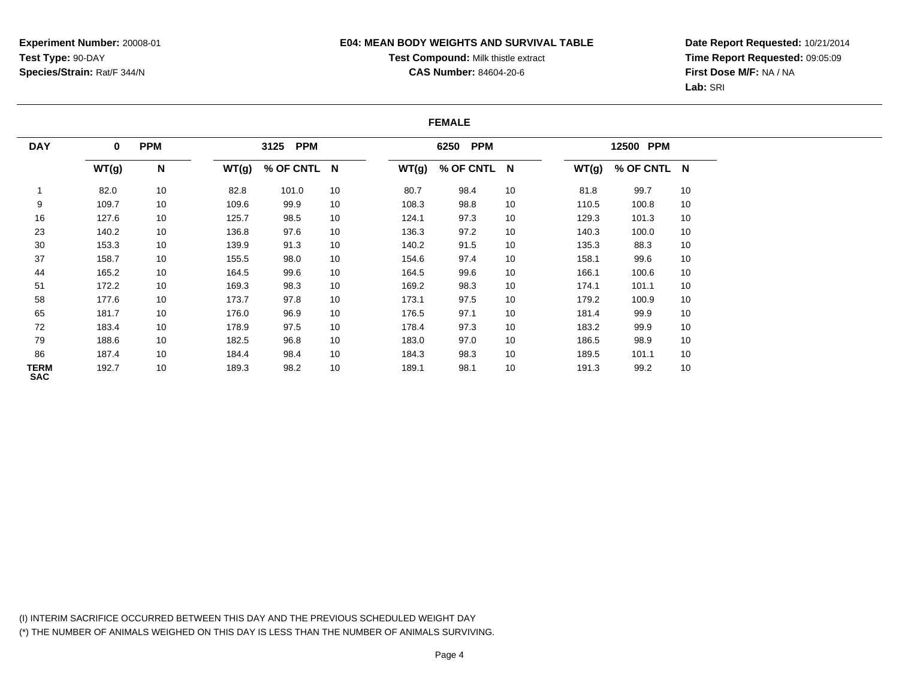## **E04: MEAN BODY WEIGHTS AND SURVIVAL TABLE**

# **Test Compound:** Milk thistle extract

**CAS Number:** 84604-20-6

**Date Report Requested:** 10/21/2014**Time Report Requested:** 09:05:09**First Dose M/F:** NA / NA**Lab:** SRI

### **FEMALE**

| <b>DAY</b>         | <b>PPM</b><br>$\mathbf 0$ |    | <b>PPM</b><br>3125 |             |    | <b>PPM</b><br>6250 |             |    | 12500 PPM |             |    |
|--------------------|---------------------------|----|--------------------|-------------|----|--------------------|-------------|----|-----------|-------------|----|
|                    | WT(g)                     | N  | WT(g)              | % OF CNTL N |    | WT(g)              | % OF CNTL N |    | WT(g)     | % OF CNTL N |    |
|                    | 82.0                      | 10 | 82.8               | 101.0       | 10 | 80.7               | 98.4        | 10 | 81.8      | 99.7        | 10 |
| 9                  | 109.7                     | 10 | 109.6              | 99.9        | 10 | 108.3              | 98.8        | 10 | 110.5     | 100.8       | 10 |
| 16                 | 127.6                     | 10 | 125.7              | 98.5        | 10 | 124.1              | 97.3        | 10 | 129.3     | 101.3       | 10 |
| 23                 | 140.2                     | 10 | 136.8              | 97.6        | 10 | 136.3              | 97.2        | 10 | 140.3     | 100.0       | 10 |
| 30                 | 153.3                     | 10 | 139.9              | 91.3        | 10 | 140.2              | 91.5        | 10 | 135.3     | 88.3        | 10 |
| 37                 | 158.7                     | 10 | 155.5              | 98.0        | 10 | 154.6              | 97.4        | 10 | 158.1     | 99.6        | 10 |
| 44                 | 165.2                     | 10 | 164.5              | 99.6        | 10 | 164.5              | 99.6        | 10 | 166.1     | 100.6       | 10 |
| 51                 | 172.2                     | 10 | 169.3              | 98.3        | 10 | 169.2              | 98.3        | 10 | 174.1     | 101.1       | 10 |
| 58                 | 177.6                     | 10 | 173.7              | 97.8        | 10 | 173.1              | 97.5        | 10 | 179.2     | 100.9       | 10 |
| 65                 | 181.7                     | 10 | 176.0              | 96.9        | 10 | 176.5              | 97.1        | 10 | 181.4     | 99.9        | 10 |
| 72                 | 183.4                     | 10 | 178.9              | 97.5        | 10 | 178.4              | 97.3        | 10 | 183.2     | 99.9        | 10 |
| 79                 | 188.6                     | 10 | 182.5              | 96.8        | 10 | 183.0              | 97.0        | 10 | 186.5     | 98.9        | 10 |
| 86                 | 187.4                     | 10 | 184.4              | 98.4        | 10 | 184.3              | 98.3        | 10 | 189.5     | 101.1       | 10 |
| TERM<br><b>SAC</b> | 192.7                     | 10 | 189.3              | 98.2        | 10 | 189.1              | 98.1        | 10 | 191.3     | 99.2        | 10 |